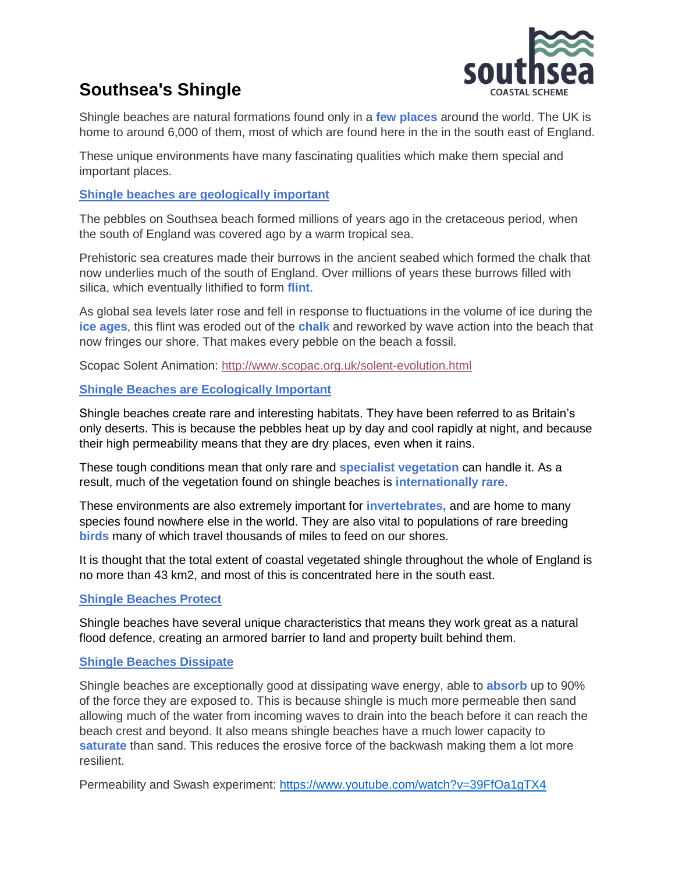

# **Southsea's Shingle**

Shingle beaches are natural formations found only in a **few places** around the world. The UK is home to around 6,000 of them, most of which are found here in the in the south east of England.

These unique environments have many fascinating qualities which make them special and important places.

# **Shingle beaches are geologically important**

The pebbles on Southsea beach formed millions of years ago in the cretaceous period, when the south of England was covered ago by a warm tropical sea.

Prehistoric sea creatures made their burrows in the ancient seabed which formed the chalk that now underlies much of the south of England. Over millions of years these burrows filled with silica, which eventually lithified to form **flint**.

As global sea levels later rose and fell in response to fluctuations in the volume of ice during the **ice ages**, this flint was eroded out of the **chalk** and reworked by wave action into the beach that now fringes our shore. That makes every pebble on the beach a fossil.

Scopac Solent Animation:<http://www.scopac.org.uk/solent-evolution.html>

### **Shingle Beaches are Ecologically Important**

Shingle beaches create rare and interesting habitats. They have been referred to as Britain's only deserts. This is because the pebbles heat up by day and cool rapidly at night, and because their high permeability means that they are dry places, even when it rains.

These tough conditions mean that only rare and **specialist vegetation** can handle it. As a result, much of the vegetation found on shingle beaches is **internationally rare**.

These environments are also extremely important for **invertebrates,** and are home to many species found nowhere else in the world. They are also vital to populations of rare breeding **birds** many of which travel thousands of miles to feed on our shores.

It is thought that the total extent of coastal vegetated shingle throughout the whole of England is no more than 43 km2, and most of this is concentrated here in the south east.

### **Shingle Beaches Protect**

Shingle beaches have several unique characteristics that means they work great as a natural flood defence, creating an armored barrier to land and property built behind them.

### **Shingle Beaches Dissipate**

Shingle beaches are exceptionally good at dissipating wave energy, able to **absorb** up to 90% of the force they are exposed to. This is because shingle is much more permeable then sand allowing much of the water from incoming waves to drain into the beach before it can reach the beach crest and beyond. It also means shingle beaches have a much lower capacity to **saturate** than sand. This reduces the erosive force of the backwash making them a lot more resilient.

Permeability and Swash experiment:<https://www.youtube.com/watch?v=39FfOa1gTX4>